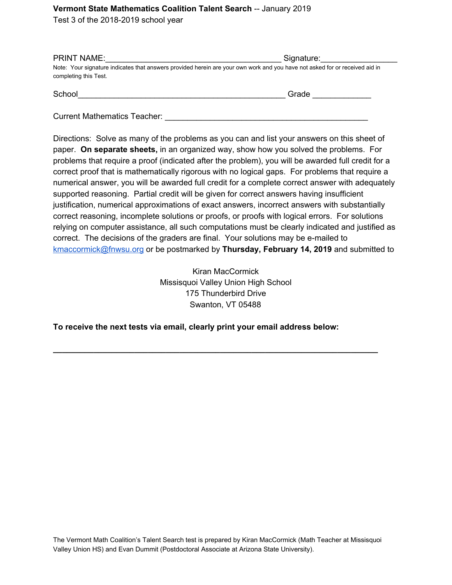## **Vermont State Mathematics Coalition Talent Search** -- January 2019

Test 3 of the 2018-2019 school year

| <b>PRINT NAME:</b>                                                                                                          | Signature: |
|-----------------------------------------------------------------------------------------------------------------------------|------------|
| Note: Your signature indicates that answers provided herein are your own work and you have not asked for or received aid in |            |
| completing this Test.                                                                                                       |            |
|                                                                                                                             |            |

| School | المحمد |  |
|--------|--------|--|
|        |        |  |

Current Mathematics Teacher: \_\_\_\_\_\_\_\_\_\_\_\_\_\_\_\_\_\_\_\_\_\_\_\_\_\_\_\_\_\_\_\_\_\_\_\_\_\_\_\_\_\_\_\_\_

Directions: Solve as many of the problems as you can and list your answers on this sheet of paper. **On separate sheets,** in an organized way, show how you solved the problems. For problems that require a proof (indicated after the problem), you will be awarded full credit for a correct proof that is mathematically rigorous with no logical gaps. For problems that require a numerical answer, you will be awarded full credit for a complete correct answer with adequately supported reasoning. Partial credit will be given for correct answers having insufficient justification, numerical approximations of exact answers, incorrect answers with substantially correct reasoning, incomplete solutions or proofs, or proofs with logical errors. For solutions relying on computer assistance, all such computations must be clearly indicated and justified as correct. The decisions of the graders are final. Your solutions may be e-mailed to [kmaccormick@fnwsu.org](mailto:kmaccormick@fnwsu.org) or be postmarked by **Thursday, February 14, 2019** and submitted to

> Kiran MacCormick Missisquoi Valley Union High School 175 Thunderbird Drive Swanton, VT 05488

**\_\_\_\_\_\_\_\_\_\_\_\_\_\_\_\_\_\_\_\_\_\_\_\_\_\_\_\_\_\_\_\_\_\_\_\_\_\_\_\_\_\_\_\_\_\_\_\_\_\_\_\_\_\_\_\_\_\_\_\_\_\_\_\_\_\_\_\_\_\_\_\_**

## **To receive the next tests via email, clearly print your email address below:**